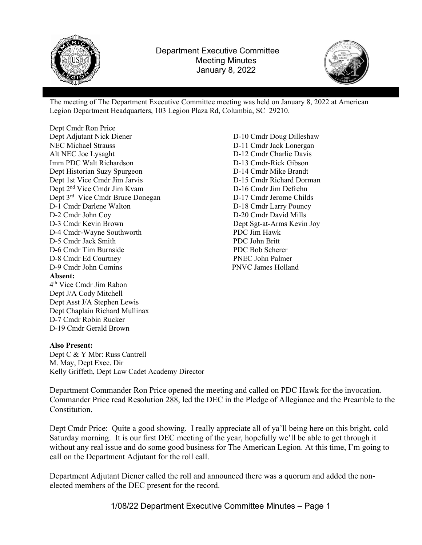



The meeting of The Department Executive Committee meeting was held on January 8, 2022 at American Legion Department Headquarters, 103 Legion Plaza Rd, Columbia, SC 29210.

Dept Cmdr Ron Price Dept Adjutant Nick Diener NEC Michael Strauss Alt NEC Joe Lysaght Imm PDC Walt Richardson Dept Historian Suzy Spurgeon Dept 1st Vice Cmdr Jim Jarvis Dept 2nd Vice Cmdr Jim Kvam Dept 3<sup>rd</sup> Vice Cmdr Bruce Donegan D-1 Cmdr Darlene Walton D-2 Cmdr John Coy D-3 Cmdr Kevin Brown D-4 Cmdr-Wayne Southworth D-5 Cmdr Jack Smith D-6 Cmdr Tim Burnside D-8 Cmdr Ed Courtney D-9 Cmdr John Comins PNVC James Holland Absent: 4 th Vice Cmdr Jim Rabon Dept J/A Cody Mitchell Dept Asst J/A Stephen Lewis Dept Chaplain Richard Mullinax D-7 Cmdr Robin Rucker D-19 Cmdr Gerald Brown

D-10 Cmdr Doug Dilleshaw D-11 Cmdr Jack Lonergan D-12 Cmdr Charlie Davis D-13 Cmdr-Rick Gibson D-14 Cmdr Mike Brandt D-15 Cmdr Richard Dorman D-16 Cmdr Jim Defrehn D-17 Cmdr Jerome Childs D-18 Cmdr Larry Pouncy D-20 Cmdr David Mills Dept Sgt-at-Arms Kevin Joy PDC Jim Hawk PDC John Britt PDC Bob Scherer PNEC John Palmer

#### Also Present:

Dept C & Y Mbr: Russ Cantrell M. May, Dept Exec. Dir Kelly Griffeth, Dept Law Cadet Academy Director

Department Commander Ron Price opened the meeting and called on PDC Hawk for the invocation. Commander Price read Resolution 288, led the DEC in the Pledge of Allegiance and the Preamble to the Constitution.

Dept Cmdr Price: Quite a good showing. I really appreciate all of ya'll being here on this bright, cold Saturday morning. It is our first DEC meeting of the year, hopefully we'll be able to get through it without any real issue and do some good business for The American Legion. At this time, I'm going to call on the Department Adjutant for the roll call.

Department Adjutant Diener called the roll and announced there was a quorum and added the nonelected members of the DEC present for the record.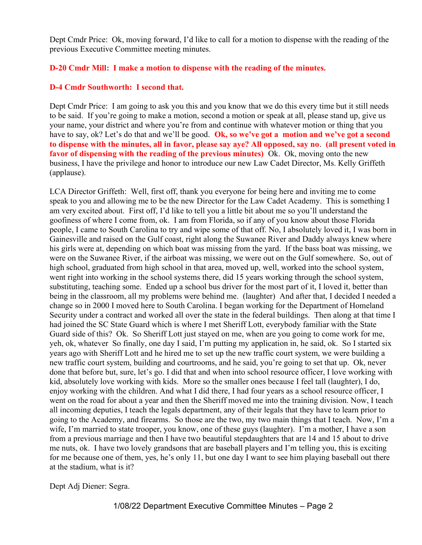Dept Cmdr Price: Ok, moving forward, I'd like to call for a motion to dispense with the reading of the previous Executive Committee meeting minutes.

# D-20 Cmdr Mill: I make a motion to dispense with the reading of the minutes.

## D-4 Cmdr Southworth: I second that.

Dept Cmdr Price: I am going to ask you this and you know that we do this every time but it still needs to be said. If you're going to make a motion, second a motion or speak at all, please stand up, give us your name, your district and where you're from and continue with whatever motion or thing that you have to say, ok? Let's do that and we'll be good. Ok, so we've got a motion and we've got a second to dispense with the minutes, all in favor, please say aye? All opposed, say no. (all present voted in favor of dispensing with the reading of the previous minutes) Ok. Ok, moving onto the new business, I have the privilege and honor to introduce our new Law Cadet Director, Ms. Kelly Griffeth (applause).

LCA Director Griffeth: Well, first off, thank you everyone for being here and inviting me to come speak to you and allowing me to be the new Director for the Law Cadet Academy. This is something I am very excited about. First off, I'd like to tell you a little bit about me so you'll understand the goofiness of where I come from, ok. I am from Florida, so if any of you know about those Florida people, I came to South Carolina to try and wipe some of that off. No, I absolutely loved it, I was born in Gainesville and raised on the Gulf coast, right along the Suwanee River and Daddy always knew where his girls were at, depending on which boat was missing from the yard. If the bass boat was missing, we were on the Suwanee River, if the airboat was missing, we were out on the Gulf somewhere. So, out of high school, graduated from high school in that area, moved up, well, worked into the school system, went right into working in the school systems there, did 15 years working through the school system, substituting, teaching some. Ended up a school bus driver for the most part of it, I loved it, better than being in the classroom, all my problems were behind me. (laughter) And after that, I decided I needed a change so in 2000 I moved here to South Carolina. I began working for the Department of Homeland Security under a contract and worked all over the state in the federal buildings. Then along at that time I had joined the SC State Guard which is where I met Sheriff Lott, everybody familiar with the State Guard side of this? Ok. So Sheriff Lott just stayed on me, when are you going to come work for me, yeh, ok, whatever So finally, one day I said, I'm putting my application in, he said, ok. So I started six years ago with Sheriff Lott and he hired me to set up the new traffic court system, we were building a new traffic court system, building and courtrooms, and he said, you're going to set that up. Ok, never done that before but, sure, let's go. I did that and when into school resource officer, I love working with kid, absolutely love working with kids. More so the smaller ones because I feel tall (laughter), I do, enjoy working with the children. And what I did there, I had four years as a school resource officer, I went on the road for about a year and then the Sheriff moved me into the training division. Now, I teach all incoming deputies, I teach the legals department, any of their legals that they have to learn prior to going to the Academy, and firearms. So those are the two, my two main things that I teach. Now, I'm a wife, I'm married to state trooper, you know, one of these guys (laughter). I'm a mother, I have a son from a previous marriage and then I have two beautiful stepdaughters that are 14 and 15 about to drive me nuts, ok. I have two lovely grandsons that are baseball players and I'm telling you, this is exciting for me because one of them, yes, he's only 11, but one day I want to see him playing baseball out there at the stadium, what is it?

Dept Adj Diener: Segra.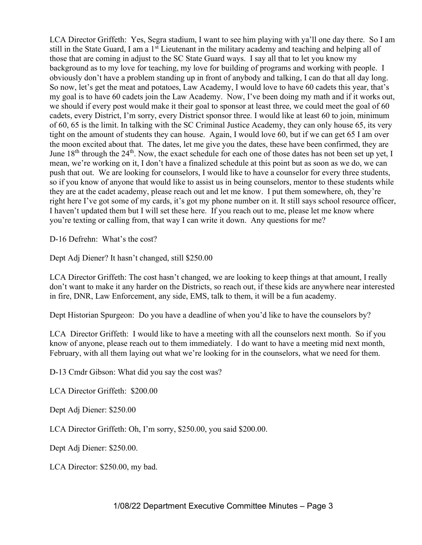LCA Director Griffeth: Yes, Segra stadium, I want to see him playing with ya'll one day there. So I am still in the State Guard, I am a 1<sup>st</sup> Lieutenant in the military academy and teaching and helping all of those that are coming in adjust to the SC State Guard ways. I say all that to let you know my background as to my love for teaching, my love for building of programs and working with people. I obviously don't have a problem standing up in front of anybody and talking, I can do that all day long. So now, let's get the meat and potatoes, Law Academy, I would love to have 60 cadets this year, that's my goal is to have 60 cadets join the Law Academy. Now, I've been doing my math and if it works out, we should if every post would make it their goal to sponsor at least three, we could meet the goal of 60 cadets, every District, I'm sorry, every District sponsor three. I would like at least 60 to join, minimum of 60, 65 is the limit. In talking with the SC Criminal Justice Academy, they can only house 65, its very tight on the amount of students they can house. Again, I would love 60, but if we can get 65 I am over the moon excited about that. The dates, let me give you the dates, these have been confirmed, they are June  $18<sup>th</sup>$  through the  $24<sup>th</sup>$ . Now, the exact schedule for each one of those dates has not been set up yet, I mean, we're working on it, I don't have a finalized schedule at this point but as soon as we do, we can push that out. We are looking for counselors, I would like to have a counselor for every three students, so if you know of anyone that would like to assist us in being counselors, mentor to these students while they are at the cadet academy, please reach out and let me know. I put them somewhere, oh, they're right here I've got some of my cards, it's got my phone number on it. It still says school resource officer, I haven't updated them but I will set these here. If you reach out to me, please let me know where you're texting or calling from, that way I can write it down. Any questions for me?

D-16 Defrehn: What's the cost?

Dept Adj Diener? It hasn't changed, still \$250.00

LCA Director Griffeth: The cost hasn't changed, we are looking to keep things at that amount, I really don't want to make it any harder on the Districts, so reach out, if these kids are anywhere near interested in fire, DNR, Law Enforcement, any side, EMS, talk to them, it will be a fun academy.

Dept Historian Spurgeon: Do you have a deadline of when you'd like to have the counselors by?

LCA Director Griffeth: I would like to have a meeting with all the counselors next month. So if you know of anyone, please reach out to them immediately. I do want to have a meeting mid next month, February, with all them laying out what we're looking for in the counselors, what we need for them.

D-13 Cmdr Gibson: What did you say the cost was?

LCA Director Griffeth: \$200.00

Dept Adj Diener: \$250.00

LCA Director Griffeth: Oh, I'm sorry, \$250.00, you said \$200.00.

Dept Adj Diener: \$250.00.

LCA Director: \$250.00, my bad.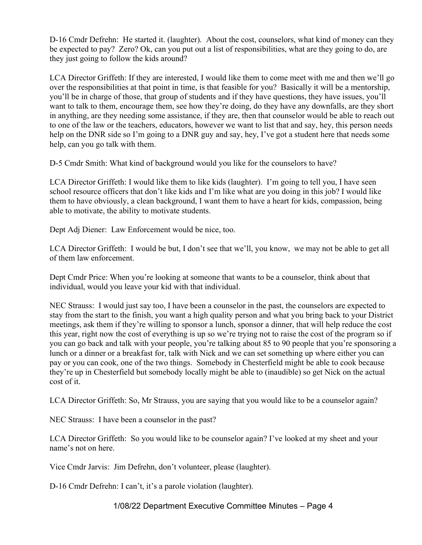D-16 Cmdr Defrehn: He started it. (laughter). About the cost, counselors, what kind of money can they be expected to pay? Zero? Ok, can you put out a list of responsibilities, what are they going to do, are they just going to follow the kids around?

LCA Director Griffeth: If they are interested, I would like them to come meet with me and then we'll go over the responsibilities at that point in time, is that feasible for you? Basically it will be a mentorship, you'll be in charge of those, that group of students and if they have questions, they have issues, you'll want to talk to them, encourage them, see how they're doing, do they have any downfalls, are they short in anything, are they needing some assistance, if they are, then that counselor would be able to reach out to one of the law or the teachers, educators, however we want to list that and say, hey, this person needs help on the DNR side so I'm going to a DNR guy and say, hey, I've got a student here that needs some help, can you go talk with them.

D-5 Cmdr Smith: What kind of background would you like for the counselors to have?

LCA Director Griffeth: I would like them to like kids (laughter). I'm going to tell you, I have seen school resource officers that don't like kids and I'm like what are you doing in this job? I would like them to have obviously, a clean background, I want them to have a heart for kids, compassion, being able to motivate, the ability to motivate students.

Dept Adj Diener: Law Enforcement would be nice, too.

LCA Director Griffeth: I would be but, I don't see that we'll, you know, we may not be able to get all of them law enforcement.

Dept Cmdr Price: When you're looking at someone that wants to be a counselor, think about that individual, would you leave your kid with that individual.

NEC Strauss: I would just say too, I have been a counselor in the past, the counselors are expected to stay from the start to the finish, you want a high quality person and what you bring back to your District meetings, ask them if they're willing to sponsor a lunch, sponsor a dinner, that will help reduce the cost this year, right now the cost of everything is up so we're trying not to raise the cost of the program so if you can go back and talk with your people, you're talking about 85 to 90 people that you're sponsoring a lunch or a dinner or a breakfast for, talk with Nick and we can set something up where either you can pay or you can cook, one of the two things. Somebody in Chesterfield might be able to cook because they're up in Chesterfield but somebody locally might be able to (inaudible) so get Nick on the actual cost of it.

LCA Director Griffeth: So, Mr Strauss, you are saying that you would like to be a counselor again?

NEC Strauss: I have been a counselor in the past?

LCA Director Griffeth: So you would like to be counselor again? I've looked at my sheet and your name's not on here.

Vice Cmdr Jarvis: Jim Defrehn, don't volunteer, please (laughter).

D-16 Cmdr Defrehn: I can't, it's a parole violation (laughter).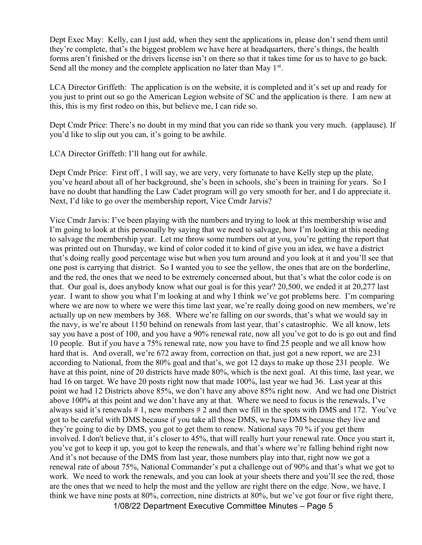Dept Exec May: Kelly, can I just add, when they sent the applications in, please don't send them until they're complete, that's the biggest problem we have here at headquarters, there's things, the health forms aren't finished or the drivers license isn't on there so that it takes time for us to have to go back. Send all the money and the complete application no later than May  $1<sup>st</sup>$ .

LCA Director Griffeth: The application is on the website, it is completed and it's set up and ready for you just to print out so go the American Legion website of SC and the application is there. I am new at this, this is my first rodeo on this, but believe me, I can ride so.

Dept Cmdr Price: There's no doubt in my mind that you can ride so thank you very much. (applause). If you'd like to slip out you can, it's going to be awhile.

LCA Director Griffeth: I'll hang out for awhile.

Dept Cmdr Price: First off , I will say, we are very, very fortunate to have Kelly step up the plate, you've heard about all of her background, she's been in schools, she's been in training for years. So I have no doubt that handling the Law Cadet program will go very smooth for her, and I do appreciate it. Next, I'd like to go over the membership report, Vice Cmdr Jarvis?

1/08/22 Department Executive Committee Minutes – Page 5 Vice Cmdr Jarvis: I've been playing with the numbers and trying to look at this membership wise and I'm going to look at this personally by saying that we need to salvage, how I'm looking at this needing to salvage the membership year. Let me throw some numbers out at you, you're getting the report that was printed out on Thursday, we kind of color coded it to kind of give you an idea, we have a district that's doing really good percentage wise but when you turn around and you look at it and you'll see that one post is carrying that district. So I wanted you to see the yellow, the ones that are on the borderline, and the red, the ones that we need to be extremely concerned about, but that's what the color code is on that. Our goal is, does anybody know what our goal is for this year? 20,500, we ended it at 20,277 last year. I want to show you what I'm looking at and why I think we've got problems here. I'm comparing where we are now to where we were this time last year, we're really doing good on new members, we're actually up on new members by 368. Where we're falling on our swords, that's what we would say in the navy, is we're about 1150 behind on renewals from last year, that's catastrophic. We all know, lets say you have a post of 100, and you have a 90% renewal rate, now all you've got to do is go out and find 10 people. But if you have a 75% renewal rate, now you have to find 25 people and we all know how hard that is. And overall, we're 672 away from, correction on that, just got a new report, we are 231 according to National, from the 80% goal and that's, we got 12 days to make up those 231 people. We have at this point, nine of 20 districts have made 80%, which is the next goal. At this time, last year, we had 16 on target. We have 20 posts right now that made 100%, last year we had 36. Last year at this point we had 12 Districts above 85%, we don't have any above 85% right now. And we had one District above 100% at this point and we don't have any at that. Where we need to focus is the renewals, I've always said it's renewals # 1, new members # 2 and then we fill in the spots with DMS and 172. You've got to be careful with DMS because if you take all those DMS, we have DMS because they live and they're going to die by DMS, you got to get them to renew. National says 70 % if you get them involved. I don't believe that, it's closer to 45%, that will really hurt your renewal rate. Once you start it, you've got to keep it up, you got to keep the renewals, and that's where we're falling behind right now And it's not because of the DMS from last year, those numbers play into that, right now we got a renewal rate of about 75%, National Commander's put a challenge out of 90% and that's what we got to work. We need to work the renewals, and you can look at your sheets there and you'll see the red, those are the ones that we need to help the most and the yellow are right there on the edge. Now, we have, I think we have nine posts at 80%, correction, nine districts at 80%, but we've got four or five right there,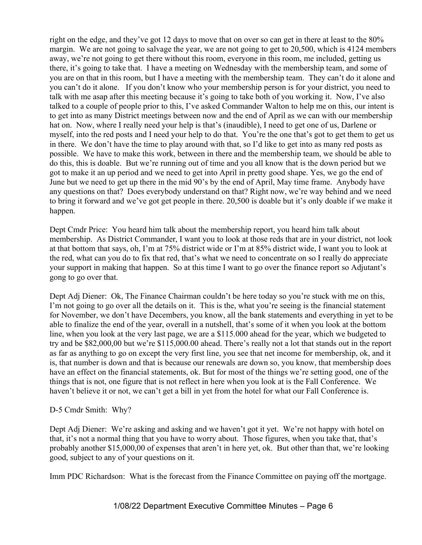right on the edge, and they've got 12 days to move that on over so can get in there at least to the 80% margin. We are not going to salvage the year, we are not going to get to 20,500, which is 4124 members away, we're not going to get there without this room, everyone in this room, me included, getting us there, it's going to take that. I have a meeting on Wednesday with the membership team, and some of you are on that in this room, but I have a meeting with the membership team. They can't do it alone and you can't do it alone. If you don't know who your membership person is for your district, you need to talk with me asap after this meeting because it's going to take both of you working it. Now, I've also talked to a couple of people prior to this, I've asked Commander Walton to help me on this, our intent is to get into as many District meetings between now and the end of April as we can with our membership hat on. Now, where I really need your help is that's (inaudible), I need to get one of us, Darlene or myself, into the red posts and I need your help to do that. You're the one that's got to get them to get us in there. We don't have the time to play around with that, so I'd like to get into as many red posts as possible. We have to make this work, between in there and the membership team, we should be able to do this, this is doable. But we're running out of time and you all know that is the down period but we got to make it an up period and we need to get into April in pretty good shape. Yes, we go the end of June but we need to get up there in the mid 90's by the end of April, May time frame. Anybody have any questions on that? Does everybody understand on that? Right now, we're way behind and we need to bring it forward and we've got get people in there. 20,500 is doable but it's only doable if we make it happen.

Dept Cmdr Price: You heard him talk about the membership report, you heard him talk about membership. As District Commander, I want you to look at those reds that are in your district, not look at that bottom that says, oh, I'm at 75% district wide or I'm at 85% district wide, I want you to look at the red, what can you do to fix that red, that's what we need to concentrate on so I really do appreciate your support in making that happen. So at this time I want to go over the finance report so Adjutant's gong to go over that.

Dept Adj Diener: Ok, The Finance Chairman couldn't be here today so you're stuck with me on this, I'm not going to go over all the details on it. This is the, what you're seeing is the financial statement for November, we don't have Decembers, you know, all the bank statements and everything in yet to be able to finalize the end of the year, overall in a nutshell, that's some of it when you look at the bottom line, when you look at the very last page, we are a \$115.000 ahead for the year, which we budgeted to try and be \$82,000,00 but we're \$115,000.00 ahead. There's really not a lot that stands out in the report as far as anything to go on except the very first line, you see that net income for membership, ok, and it is, that number is down and that is because our renewals are down so, you know, that membership does have an effect on the financial statements, ok. But for most of the things we're setting good, one of the things that is not, one figure that is not reflect in here when you look at is the Fall Conference. We haven't believe it or not, we can't get a bill in yet from the hotel for what our Fall Conference is.

D-5 Cmdr Smith: Why?

Dept Adj Diener: We're asking and asking and we haven't got it yet. We're not happy with hotel on that, it's not a normal thing that you have to worry about. Those figures, when you take that, that's probably another \$15,000,00 of expenses that aren't in here yet, ok. But other than that, we're looking good, subject to any of your questions on it.

Imm PDC Richardson: What is the forecast from the Finance Committee on paying off the mortgage.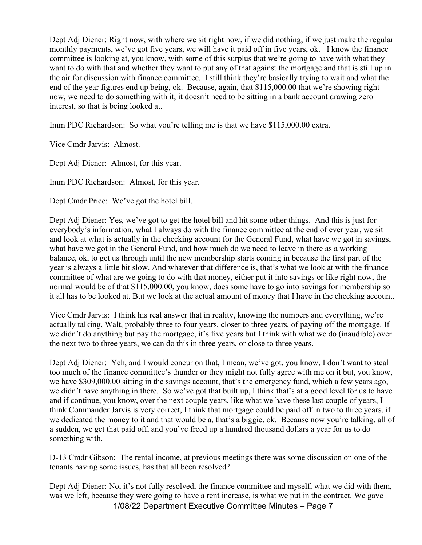Dept Adj Diener: Right now, with where we sit right now, if we did nothing, if we just make the regular monthly payments, we've got five years, we will have it paid off in five years, ok. I know the finance committee is looking at, you know, with some of this surplus that we're going to have with what they want to do with that and whether they want to put any of that against the mortgage and that is still up in the air for discussion with finance committee. I still think they're basically trying to wait and what the end of the year figures end up being, ok. Because, again, that \$115,000.00 that we're showing right now, we need to do something with it, it doesn't need to be sitting in a bank account drawing zero interest, so that is being looked at.

Imm PDC Richardson: So what you're telling me is that we have \$115,000.00 extra.

Vice Cmdr Jarvis: Almost.

Dept Adj Diener: Almost, for this year.

Imm PDC Richardson: Almost, for this year.

Dept Cmdr Price: We've got the hotel bill.

Dept Adj Diener: Yes, we've got to get the hotel bill and hit some other things. And this is just for everybody's information, what I always do with the finance committee at the end of ever year, we sit and look at what is actually in the checking account for the General Fund, what have we got in savings, what have we got in the General Fund, and how much do we need to leave in there as a working balance, ok, to get us through until the new membership starts coming in because the first part of the year is always a little bit slow. And whatever that difference is, that's what we look at with the finance committee of what are we going to do with that money, either put it into savings or like right now, the normal would be of that \$115,000.00, you know, does some have to go into savings for membership so it all has to be looked at. But we look at the actual amount of money that I have in the checking account.

Vice Cmdr Jarvis: I think his real answer that in reality, knowing the numbers and everything, we're actually talking, Walt, probably three to four years, closer to three years, of paying off the mortgage. If we didn't do anything but pay the mortgage, it's five years but I think with what we do (inaudible) over the next two to three years, we can do this in three years, or close to three years.

Dept Adj Diener: Yeh, and I would concur on that, I mean, we've got, you know, I don't want to steal too much of the finance committee's thunder or they might not fully agree with me on it but, you know, we have \$309,000.00 sitting in the savings account, that's the emergency fund, which a few years ago, we didn't have anything in there. So we've got that built up, I think that's at a good level for us to have and if continue, you know, over the next couple years, like what we have these last couple of years, I think Commander Jarvis is very correct, I think that mortgage could be paid off in two to three years, if we dedicated the money to it and that would be a, that's a biggie, ok. Because now you're talking, all of a sudden, we get that paid off, and you've freed up a hundred thousand dollars a year for us to do something with.

D-13 Cmdr Gibson: The rental income, at previous meetings there was some discussion on one of the tenants having some issues, has that all been resolved?

1/08/22 Department Executive Committee Minutes – Page 7 Dept Adj Diener: No, it's not fully resolved, the finance committee and myself, what we did with them, was we left, because they were going to have a rent increase, is what we put in the contract. We gave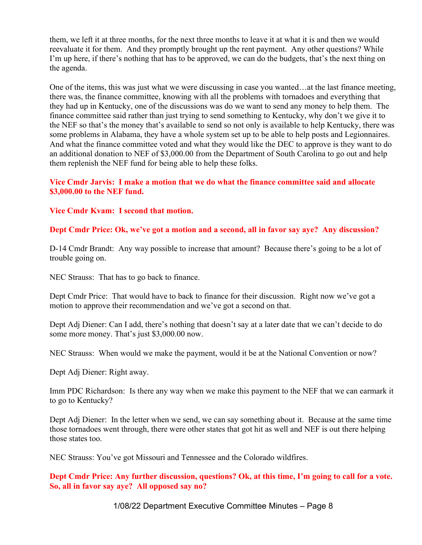them, we left it at three months, for the next three months to leave it at what it is and then we would reevaluate it for them. And they promptly brought up the rent payment. Any other questions? While I'm up here, if there's nothing that has to be approved, we can do the budgets, that's the next thing on the agenda.

One of the items, this was just what we were discussing in case you wanted…at the last finance meeting, there was, the finance committee, knowing with all the problems with tornadoes and everything that they had up in Kentucky, one of the discussions was do we want to send any money to help them. The finance committee said rather than just trying to send something to Kentucky, why don't we give it to the NEF so that's the money that's available to send so not only is available to help Kentucky, there was some problems in Alabama, they have a whole system set up to be able to help posts and Legionnaires. And what the finance committee voted and what they would like the DEC to approve is they want to do an additional donation to NEF of \$3,000.00 from the Department of South Carolina to go out and help them replenish the NEF fund for being able to help these folks.

## Vice Cmdr Jarvis: I make a motion that we do what the finance committee said and allocate \$3,000.00 to the NEF fund.

## Vice Cmdr Kvam: I second that motion.

## Dept Cmdr Price: Ok, we've got a motion and a second, all in favor say aye? Any discussion?

D-14 Cmdr Brandt: Any way possible to increase that amount? Because there's going to be a lot of trouble going on.

NEC Strauss: That has to go back to finance.

Dept Cmdr Price: That would have to back to finance for their discussion. Right now we've got a motion to approve their recommendation and we've got a second on that.

Dept Adj Diener: Can I add, there's nothing that doesn't say at a later date that we can't decide to do some more money. That's just \$3,000.00 now.

NEC Strauss: When would we make the payment, would it be at the National Convention or now?

Dept Adj Diener: Right away.

Imm PDC Richardson: Is there any way when we make this payment to the NEF that we can earmark it to go to Kentucky?

Dept Adj Diener: In the letter when we send, we can say something about it. Because at the same time those tornadoes went through, there were other states that got hit as well and NEF is out there helping those states too.

NEC Strauss: You've got Missouri and Tennessee and the Colorado wildfires.

Dept Cmdr Price: Any further discussion, questions? Ok, at this time, I'm going to call for a vote. So, all in favor say aye? All opposed say no?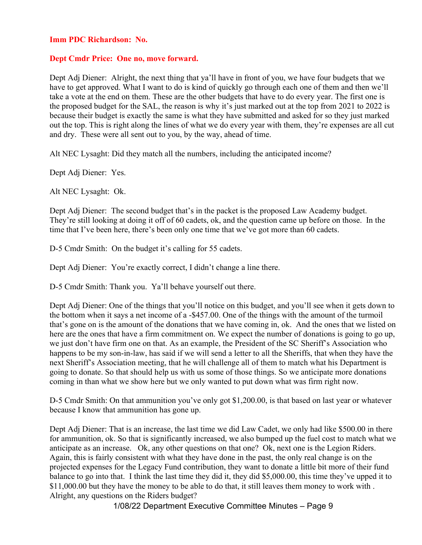#### Imm PDC Richardson: No.

#### Dept Cmdr Price: One no, move forward.

Dept Adj Diener: Alright, the next thing that ya'll have in front of you, we have four budgets that we have to get approved. What I want to do is kind of quickly go through each one of them and then we'll take a vote at the end on them. These are the other budgets that have to do every year. The first one is the proposed budget for the SAL, the reason is why it's just marked out at the top from 2021 to 2022 is because their budget is exactly the same is what they have submitted and asked for so they just marked out the top. This is right along the lines of what we do every year with them, they're expenses are all cut and dry. These were all sent out to you, by the way, ahead of time.

Alt NEC Lysaght: Did they match all the numbers, including the anticipated income?

Dept Adj Diener: Yes.

Alt NEC Lysaght: Ok.

Dept Adj Diener: The second budget that's in the packet is the proposed Law Academy budget. They're still looking at doing it off of 60 cadets, ok, and the question came up before on those. In the time that I've been here, there's been only one time that we've got more than 60 cadets.

D-5 Cmdr Smith: On the budget it's calling for 55 cadets.

Dept Adj Diener: You're exactly correct, I didn't change a line there.

D-5 Cmdr Smith: Thank you. Ya'll behave yourself out there.

Dept Adj Diener: One of the things that you'll notice on this budget, and you'll see when it gets down to the bottom when it says a net income of a -\$457.00. One of the things with the amount of the turmoil that's gone on is the amount of the donations that we have coming in, ok. And the ones that we listed on here are the ones that have a firm commitment on. We expect the number of donations is going to go up, we just don't have firm one on that. As an example, the President of the SC Sheriff's Association who happens to be my son-in-law, has said if we will send a letter to all the Sheriffs, that when they have the next Sheriff's Association meeting, that he will challenge all of them to match what his Department is going to donate. So that should help us with us some of those things. So we anticipate more donations coming in than what we show here but we only wanted to put down what was firm right now.

D-5 Cmdr Smith: On that ammunition you've only got \$1,200.00, is that based on last year or whatever because I know that ammunition has gone up.

Dept Adj Diener: That is an increase, the last time we did Law Cadet, we only had like \$500.00 in there for ammunition, ok. So that is significantly increased, we also bumped up the fuel cost to match what we anticipate as an increase. Ok, any other questions on that one? Ok, next one is the Legion Riders. Again, this is fairly consistent with what they have done in the past, the only real change is on the projected expenses for the Legacy Fund contribution, they want to donate a little bit more of their fund balance to go into that. I think the last time they did it, they did \$5,000.00, this time they've upped it to \$11,000.00 but they have the money to be able to do that, it still leaves them money to work with . Alright, any questions on the Riders budget?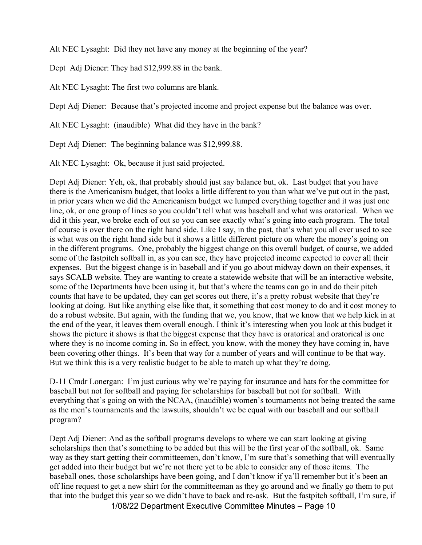Alt NEC Lysaght: Did they not have any money at the beginning of the year?

Dept Adj Diener: They had \$12,999.88 in the bank.

Alt NEC Lysaght: The first two columns are blank.

Dept Adj Diener: Because that's projected income and project expense but the balance was over.

Alt NEC Lysaght: (inaudible) What did they have in the bank?

Dept Adj Diener: The beginning balance was \$12,999.88.

Alt NEC Lysaght: Ok, because it just said projected.

Dept Adj Diener: Yeh, ok, that probably should just say balance but, ok. Last budget that you have there is the Americanism budget, that looks a little different to you than what we've put out in the past, in prior years when we did the Americanism budget we lumped everything together and it was just one line, ok, or one group of lines so you couldn't tell what was baseball and what was oratorical. When we did it this year, we broke each of out so you can see exactly what's going into each program. The total of course is over there on the right hand side. Like I say, in the past, that's what you all ever used to see is what was on the right hand side but it shows a little different picture on where the money's going on in the different programs. One, probably the biggest change on this overall budget, of course, we added some of the fastpitch softball in, as you can see, they have projected income expected to cover all their expenses. But the biggest change is in baseball and if you go about midway down on their expenses, it says SCALB website. They are wanting to create a statewide website that will be an interactive website, some of the Departments have been using it, but that's where the teams can go in and do their pitch counts that have to be updated, they can get scores out there, it's a pretty robust website that they're looking at doing. But like anything else like that, it something that cost money to do and it cost money to do a robust website. But again, with the funding that we, you know, that we know that we help kick in at the end of the year, it leaves them overall enough. I think it's interesting when you look at this budget it shows the picture it shows is that the biggest expense that they have is oratorical and oratorical is one where they is no income coming in. So in effect, you know, with the money they have coming in, have been covering other things. It's been that way for a number of years and will continue to be that way. But we think this is a very realistic budget to be able to match up what they're doing.

D-11 Cmdr Lonergan: I'm just curious why we're paying for insurance and hats for the committee for baseball but not for softball and paying for scholarships for baseball but not for softball. With everything that's going on with the NCAA, (inaudible) women's tournaments not being treated the same as the men's tournaments and the lawsuits, shouldn't we be equal with our baseball and our softball program?

Dept Adj Diener: And as the softball programs develops to where we can start looking at giving scholarships then that's something to be added but this will be the first year of the softball, ok. Same way as they start getting their committeemen, don't know, I'm sure that's something that will eventually get added into their budget but we're not there yet to be able to consider any of those items. The baseball ones, those scholarships have been going, and I don't know if ya'll remember but it's been an off line request to get a new shirt for the committeeman as they go around and we finally go them to put that into the budget this year so we didn't have to back and re-ask. But the fastpitch softball, I'm sure, if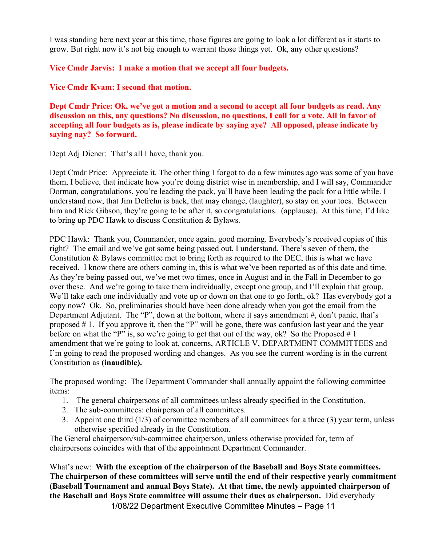I was standing here next year at this time, those figures are going to look a lot different as it starts to grow. But right now it's not big enough to warrant those things yet. Ok, any other questions?

Vice Cmdr Jarvis: I make a motion that we accept all four budgets.

Vice Cmdr Kvam: I second that motion.

Dept Cmdr Price: Ok, we've got a motion and a second to accept all four budgets as read. Any discussion on this, any questions? No discussion, no questions, I call for a vote. All in favor of accepting all four budgets as is, please indicate by saying aye? All opposed, please indicate by saying nay? So forward.

Dept Adj Diener: That's all I have, thank you.

Dept Cmdr Price: Appreciate it. The other thing I forgot to do a few minutes ago was some of you have them, I believe, that indicate how you're doing district wise in membership, and I will say, Commander Dorman, congratulations, you're leading the pack, ya'll have been leading the pack for a little while. I understand now, that Jim Defrehn is back, that may change, (laughter), so stay on your toes. Between him and Rick Gibson, they're going to be after it, so congratulations. (applause). At this time, I'd like to bring up PDC Hawk to discuss Constitution & Bylaws.

PDC Hawk: Thank you, Commander, once again, good morning. Everybody's received copies of this right? The email and we've got some being passed out, I understand. There's seven of them, the Constitution & Bylaws committee met to bring forth as required to the DEC, this is what we have received. I know there are others coming in, this is what we've been reported as of this date and time. As they're being passed out, we've met two times, once in August and in the Fall in December to go over these. And we're going to take them individually, except one group, and I'll explain that group. We'll take each one individually and vote up or down on that one to go forth, ok? Has everybody got a copy now? Ok. So, preliminaries should have been done already when you got the email from the Department Adjutant. The "P", down at the bottom, where it says amendment #, don't panic, that's proposed # 1. If you approve it, then the "P" will be gone, there was confusion last year and the year before on what the "P" is, so we're going to get that out of the way, ok? So the Proposed  $# 1$ amendment that we're going to look at, concerns, ARTICLE V, DEPARTMENT COMMITTEES and I'm going to read the proposed wording and changes. As you see the current wording is in the current Constitution as (inaudible).

The proposed wording: The Department Commander shall annually appoint the following committee items:

- 1. The general chairpersons of all committees unless already specified in the Constitution.
- 2. The sub-committees: chairperson of all committees.
- 3. Appoint one third (1/3) of committee members of all committees for a three (3) year term, unless otherwise specified already in the Constitution.

The General chairperson/sub-committee chairperson, unless otherwise provided for, term of chairpersons coincides with that of the appointment Department Commander.

What's new: With the exception of the chairperson of the Baseball and Boys State committees. The chairperson of these committees will serve until the end of their respective yearly commitment (Baseball Tournament and annual Boys State). At that time, the newly appointed chairperson of the Baseball and Boys State committee will assume their dues as chairperson. Did everybody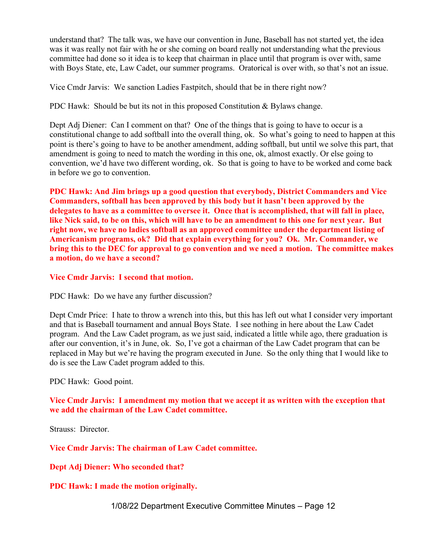understand that? The talk was, we have our convention in June, Baseball has not started yet, the idea was it was really not fair with he or she coming on board really not understanding what the previous committee had done so it idea is to keep that chairman in place until that program is over with, same with Boys State, etc, Law Cadet, our summer programs. Oratorical is over with, so that's not an issue.

Vice Cmdr Jarvis: We sanction Ladies Fastpitch, should that be in there right now?

PDC Hawk: Should be but its not in this proposed Constitution & Bylaws change.

Dept Adj Diener: Can I comment on that? One of the things that is going to have to occur is a constitutional change to add softball into the overall thing, ok. So what's going to need to happen at this point is there's going to have to be another amendment, adding softball, but until we solve this part, that amendment is going to need to match the wording in this one, ok, almost exactly. Or else going to convention, we'd have two different wording, ok. So that is going to have to be worked and come back in before we go to convention.

PDC Hawk: And Jim brings up a good question that everybody, District Commanders and Vice Commanders, softball has been approved by this body but it hasn't been approved by the delegates to have as a committee to oversee it. Once that is accomplished, that will fall in place, like Nick said, to be on this, which will have to be an amendment to this one for next year. But right now, we have no ladies softball as an approved committee under the department listing of Americanism programs, ok? Did that explain everything for you? Ok. Mr. Commander, we bring this to the DEC for approval to go convention and we need a motion. The committee makes a motion, do we have a second?

## Vice Cmdr Jarvis: I second that motion.

PDC Hawk: Do we have any further discussion?

Dept Cmdr Price: I hate to throw a wrench into this, but this has left out what I consider very important and that is Baseball tournament and annual Boys State. I see nothing in here about the Law Cadet program. And the Law Cadet program, as we just said, indicated a little while ago, there graduation is after our convention, it's in June, ok. So, I've got a chairman of the Law Cadet program that can be replaced in May but we're having the program executed in June. So the only thing that I would like to do is see the Law Cadet program added to this.

#### PDC Hawk: Good point.

Vice Cmdr Jarvis: I amendment my motion that we accept it as written with the exception that we add the chairman of the Law Cadet committee.

Strauss: Director.

Vice Cmdr Jarvis: The chairman of Law Cadet committee.

Dept Adj Diener: Who seconded that?

PDC Hawk: I made the motion originally.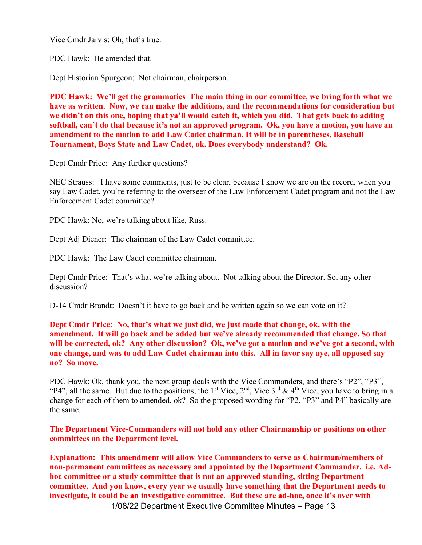Vice Cmdr Jarvis: Oh, that's true.

PDC Hawk: He amended that.

Dept Historian Spurgeon: Not chairman, chairperson.

PDC Hawk: We'll get the grammatics The main thing in our committee, we bring forth what we have as written. Now, we can make the additions, and the recommendations for consideration but we didn't on this one, hoping that ya'll would catch it, which you did. That gets back to adding softball, can't do that because it's not an approved program. Ok, you have a motion, you have an amendment to the motion to add Law Cadet chairman. It will be in parentheses, Baseball Tournament, Boys State and Law Cadet, ok. Does everybody understand? Ok.

Dept Cmdr Price: Any further questions?

NEC Strauss: I have some comments, just to be clear, because I know we are on the record, when you say Law Cadet, you're referring to the overseer of the Law Enforcement Cadet program and not the Law Enforcement Cadet committee?

PDC Hawk: No, we're talking about like, Russ.

Dept Adj Diener: The chairman of the Law Cadet committee.

PDC Hawk: The Law Cadet committee chairman.

Dept Cmdr Price: That's what we're talking about. Not talking about the Director. So, any other discussion?

D-14 Cmdr Brandt: Doesn't it have to go back and be written again so we can vote on it?

Dept Cmdr Price: No, that's what we just did, we just made that change, ok, with the amendment. It will go back and be added but we've already recommended that change. So that will be corrected, ok? Any other discussion? Ok, we've got a motion and we've got a second, with one change, and was to add Law Cadet chairman into this. All in favor say aye, all opposed say no? So move.

PDC Hawk: Ok, thank you, the next group deals with the Vice Commanders, and there's "P2", "P3", "P4", all the same. But due to the positions, the 1<sup>st</sup> Vice, 2<sup>nd</sup>, Vice 3<sup>rd</sup> & 4<sup>th</sup> Vice, you have to bring in a change for each of them to amended, ok? So the proposed wording for "P2, "P3" and P4" basically are the same.

The Department Vice-Commanders will not hold any other Chairmanship or positions on other committees on the Department level.

1/08/22 Department Executive Committee Minutes – Page 13 Explanation: This amendment will allow Vice Commanders to serve as Chairman/members of non-permanent committees as necessary and appointed by the Department Commander. i.e. Adhoc committee or a study committee that is not an approved standing, sitting Department committee. And you know, every year we usually have something that the Department needs to investigate, it could be an investigative committee. But these are ad-hoc, once it's over with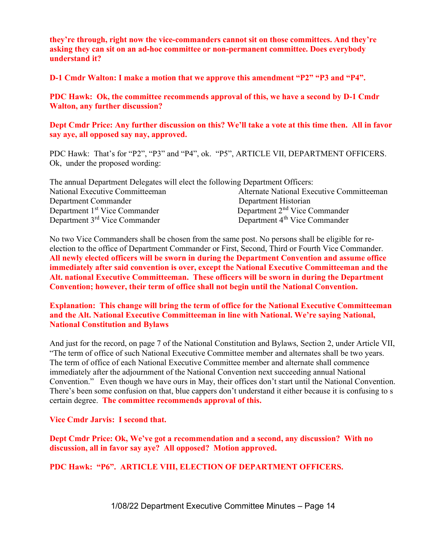they're through, right now the vice-commanders cannot sit on those committees. And they're asking they can sit on an ad-hoc committee or non-permanent committee. Does everybody understand it?

D-1 Cmdr Walton: I make a motion that we approve this amendment "P2" "P3 and "P4".

PDC Hawk: Ok, the committee recommends approval of this, we have a second by D-1 Cmdr Walton, any further discussion?

Dept Cmdr Price: Any further discussion on this? We'll take a vote at this time then. All in favor say aye, all opposed say nay, approved.

PDC Hawk: That's for "P2", "P3" and "P4", ok. "P5", ARTICLE VII, DEPARTMENT OFFICERS. Ok, under the proposed wording:

| The annual Department Delegates will elect the following Department Officers: |                                           |
|-------------------------------------------------------------------------------|-------------------------------------------|
| National Executive Committeeman                                               | Alternate National Executive Committeeman |
| Department Commander                                                          | Department Historian                      |
| Department 1 <sup>st</sup> Vice Commander                                     | Department 2 <sup>nd</sup> Vice Commander |
| Department 3 <sup>rd</sup> Vice Commander                                     | Department 4 <sup>th</sup> Vice Commander |

No two Vice Commanders shall be chosen from the same post. No persons shall be eligible for reelection to the office of Department Commander or First, Second, Third or Fourth Vice Commander. All newly elected officers will be sworn in during the Department Convention and assume office immediately after said convention is over, except the National Executive Committeeman and the Alt. national Executive Committeeman. These officers will be sworn in during the Department Convention; however, their term of office shall not begin until the National Convention.

Explanation: This change will bring the term of office for the National Executive Committeeman and the Alt. National Executive Committeeman in line with National. We're saying National, National Constitution and Bylaws

And just for the record, on page 7 of the National Constitution and Bylaws, Section 2, under Article VII, "The term of office of such National Executive Committee member and alternates shall be two years. The term of office of each National Executive Committee member and alternate shall commence immediately after the adjournment of the National Convention next succeeding annual National Convention." Even though we have ours in May, their offices don't start until the National Convention. There's been some confusion on that, blue cappers don't understand it either because it is confusing to s certain degree. The committee recommends approval of this.

Vice Cmdr Jarvis: I second that.

Dept Cmdr Price: Ok, We've got a recommendation and a second, any discussion? With no discussion, all in favor say aye? All opposed? Motion approved.

PDC Hawk: "P6". ARTICLE VIII, ELECTION OF DEPARTMENT OFFICERS.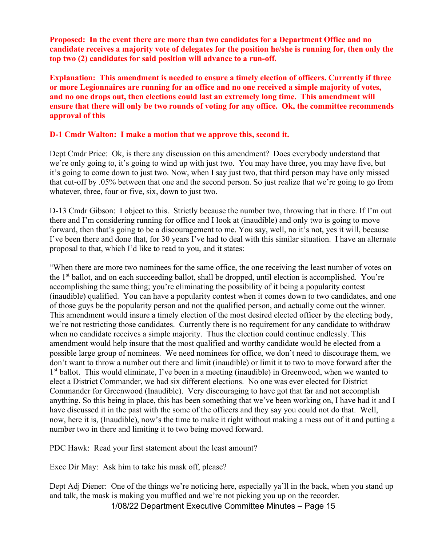Proposed: In the event there are more than two candidates for a Department Office and no candidate receives a majority vote of delegates for the position he/she is running for, then only the top two (2) candidates for said position will advance to a run-off.

Explanation: This amendment is needed to ensure a timely election of officers. Currently if three or more Legionnaires are running for an office and no one received a simple majority of votes, and no one drops out, then elections could last an extremely long time. This amendment will ensure that there will only be two rounds of voting for any office. Ok, the committee recommends approval of this

### D-1 Cmdr Walton: I make a motion that we approve this, second it.

Dept Cmdr Price: Ok, is there any discussion on this amendment? Does everybody understand that we're only going to, it's going to wind up with just two. You may have three, you may have five, but it's going to come down to just two. Now, when I say just two, that third person may have only missed that cut-off by .05% between that one and the second person. So just realize that we're going to go from whatever, three, four or five, six, down to just two.

D-13 Cmdr Gibson: I object to this. Strictly because the number two, throwing that in there. If I'm out there and I'm considering running for office and I look at (inaudible) and only two is going to move forward, then that's going to be a discouragement to me. You say, well, no it's not, yes it will, because I've been there and done that, for 30 years I've had to deal with this similar situation. I have an alternate proposal to that, which I'd like to read to you, and it states:

"When there are more two nominees for the same office, the one receiving the least number of votes on the 1<sup>st</sup> ballot, and on each succeeding ballot, shall be dropped, until election is accomplished. You're accomplishing the same thing; you're eliminating the possibility of it being a popularity contest (inaudible) qualified. You can have a popularity contest when it comes down to two candidates, and one of those guys be the popularity person and not the qualified person, and actually come out the winner. This amendment would insure a timely election of the most desired elected officer by the electing body, we're not restricting those candidates. Currently there is no requirement for any candidate to withdraw when no candidate receives a simple majority. Thus the election could continue endlessly. This amendment would help insure that the most qualified and worthy candidate would be elected from a possible large group of nominees. We need nominees for office, we don't need to discourage them, we don't want to throw a number out there and limit (inaudible) or limit it to two to move forward after the 1<sup>st</sup> ballot. This would eliminate, I've been in a meeting (inaudible) in Greenwood, when we wanted to elect a District Commander, we had six different elections. No one was ever elected for District Commander for Greenwood (Inaudible). Very discouraging to have got that far and not accomplish anything. So this being in place, this has been something that we've been working on, I have had it and I have discussed it in the past with the some of the officers and they say you could not do that. Well, now, here it is, (Inaudible), now's the time to make it right without making a mess out of it and putting a number two in there and limiting it to two being moved forward.

PDC Hawk: Read your first statement about the least amount?

Exec Dir May: Ask him to take his mask off, please?

Dept Adj Diener: One of the things we're noticing here, especially ya'll in the back, when you stand up and talk, the mask is making you muffled and we're not picking you up on the recorder.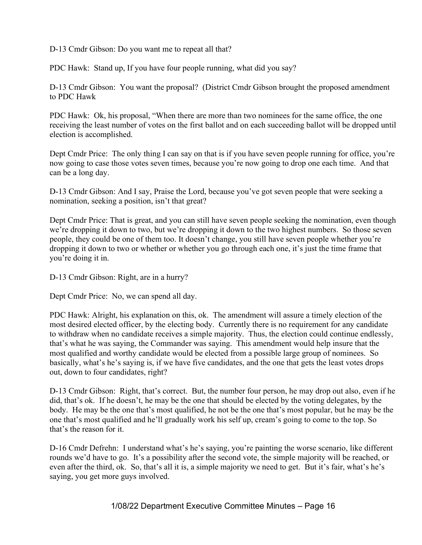D-13 Cmdr Gibson: Do you want me to repeat all that?

PDC Hawk: Stand up, If you have four people running, what did you say?

D-13 Cmdr Gibson: You want the proposal? (District Cmdr Gibson brought the proposed amendment to PDC Hawk

PDC Hawk: Ok, his proposal, "When there are more than two nominees for the same office, the one receiving the least number of votes on the first ballot and on each succeeding ballot will be dropped until election is accomplished.

Dept Cmdr Price: The only thing I can say on that is if you have seven people running for office, you're now going to case those votes seven times, because you're now going to drop one each time. And that can be a long day.

D-13 Cmdr Gibson: And I say, Praise the Lord, because you've got seven people that were seeking a nomination, seeking a position, isn't that great?

Dept Cmdr Price: That is great, and you can still have seven people seeking the nomination, even though we're dropping it down to two, but we're dropping it down to the two highest numbers. So those seven people, they could be one of them too. It doesn't change, you still have seven people whether you're dropping it down to two or whether or whether you go through each one, it's just the time frame that you're doing it in.

D-13 Cmdr Gibson: Right, are in a hurry?

Dept Cmdr Price: No, we can spend all day.

PDC Hawk: Alright, his explanation on this, ok. The amendment will assure a timely election of the most desired elected officer, by the electing body. Currently there is no requirement for any candidate to withdraw when no candidate receives a simple majority. Thus, the election could continue endlessly, that's what he was saying, the Commander was saying. This amendment would help insure that the most qualified and worthy candidate would be elected from a possible large group of nominees. So basically, what's he's saying is, if we have five candidates, and the one that gets the least votes drops out, down to four candidates, right?

D-13 Cmdr Gibson: Right, that's correct. But, the number four person, he may drop out also, even if he did, that's ok. If he doesn't, he may be the one that should be elected by the voting delegates, by the body. He may be the one that's most qualified, he not be the one that's most popular, but he may be the one that's most qualified and he'll gradually work his self up, cream's going to come to the top. So that's the reason for it.

D-16 Cmdr Defrehn: I understand what's he's saying, you're painting the worse scenario, like different rounds we'd have to go. It's a possibility after the second vote, the simple majority will be reached, or even after the third, ok. So, that's all it is, a simple majority we need to get. But it's fair, what's he's saying, you get more guys involved.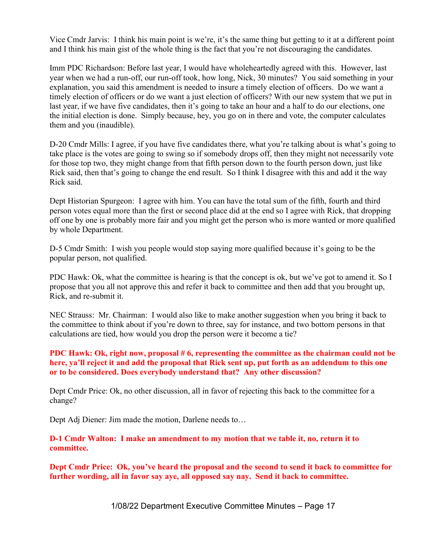Vice Cmdr Jarvis: I think his main point is we're, it's the same thing but getting to it at a different point and I think his main gist of the whole thing is the fact that you're not discouraging the candidates.

Imm PDC Richardson: Before last year, I would have wholeheartedly agreed with this. However, last year when we had a run-off, our run-off took, how long, Nick, 30 minutes? You said something in your explanation, you said this amendment is needed to insure a timely election of officers. Do we want a timely election of officers or do we want a just election of officers? With our new system that we put in last year, if we have five candidates, then it's going to take an hour and a half to do our elections, one the initial election is done. Simply because, hey, you go on in there and vote, the computer calculates them and you (inaudible).

D-20 Cmdr Mills: I agree, if you have five candidates there, what you're talking about is what's going to take place is the votes are going to swing so if somebody drops off, then they might not necessarily vote for those top two, they might change from that fifth person down to the fourth person down, just like Rick said, then that's going to change the end result. So I think I disagree with this and add it the way Rick said.

Dept Historian Spurgeon: I agree with him. You can have the total sum of the fifth, fourth and third person votes equal more than the first or second place did at the end so I agree with Rick, that dropping off one by one is probably more fair and you might get the person who is more wanted or more qualified by whole Department.

D-5 Cmdr Smith: I wish you people would stop saying more qualified because it's going to be the popular person, not qualified.

PDC Hawk: Ok, what the committee is hearing is that the concept is ok, but we've got to amend it. So I propose that you all not approve this and refer it back to committee and then add that you brought up, Rick, and re-submit it.

NEC Strauss: Mr. Chairman: I would also like to make another suggestion when you bring it back to the committee to think about if you're down to three, say for instance, and two bottom persons in that calculations are tied, how would you drop the person were it become a tie?

## PDC Hawk: Ok, right now, proposal # 6, representing the committee as the chairman could not be here, ya'll reject it and add the proposal that Rick sent up, put forth as an addendum to this one or to be considered. Does everybody understand that? Any other discussion?

Dept Cmdr Price: Ok, no other discussion, all in favor of rejecting this back to the committee for a change?

Dept Adj Diener: Jim made the motion, Darlene needs to…

D-1 Cmdr Walton: I make an amendment to my motion that we table it, no, return it to committee.

Dept Cmdr Price: Ok, you've heard the proposal and the second to send it back to committee for further wording, all in favor say aye, all opposed say nay. Send it back to committee.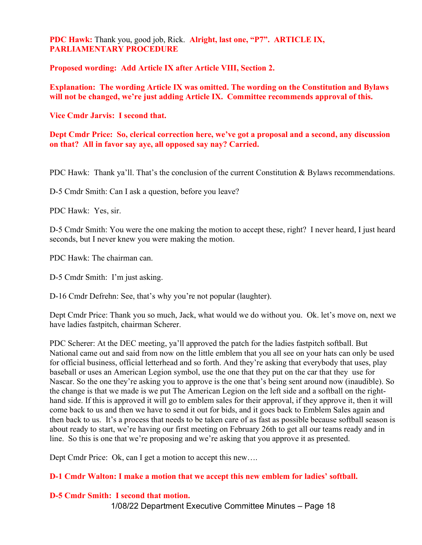## PDC Hawk: Thank you, good job, Rick. Alright, last one, "P7". ARTICLE IX, PARLIAMENTARY PROCEDURE

Proposed wording: Add Article IX after Article VIII, Section 2.

Explanation: The wording Article IX was omitted. The wording on the Constitution and Bylaws will not be changed, we're just adding Article IX. Committee recommends approval of this.

Vice Cmdr Jarvis: I second that.

Dept Cmdr Price: So, clerical correction here, we've got a proposal and a second, any discussion on that? All in favor say aye, all opposed say nay? Carried.

PDC Hawk: Thank ya'll. That's the conclusion of the current Constitution & Bylaws recommendations.

D-5 Cmdr Smith: Can I ask a question, before you leave?

PDC Hawk: Yes, sir.

D-5 Cmdr Smith: You were the one making the motion to accept these, right? I never heard, I just heard seconds, but I never knew you were making the motion.

PDC Hawk: The chairman can.

D-5 Cmdr Smith: I'm just asking.

D-16 Cmdr Defrehn: See, that's why you're not popular (laughter).

Dept Cmdr Price: Thank you so much, Jack, what would we do without you. Ok. let's move on, next we have ladies fastpitch, chairman Scherer.

PDC Scherer: At the DEC meeting, ya'll approved the patch for the ladies fastpitch softball. But National came out and said from now on the little emblem that you all see on your hats can only be used for official business, official letterhead and so forth. And they're asking that everybody that uses, play baseball or uses an American Legion symbol, use the one that they put on the car that they use for Nascar. So the one they're asking you to approve is the one that's being sent around now (inaudible). So the change is that we made is we put The American Legion on the left side and a softball on the righthand side. If this is approved it will go to emblem sales for their approval, if they approve it, then it will come back to us and then we have to send it out for bids, and it goes back to Emblem Sales again and then back to us. It's a process that needs to be taken care of as fast as possible because softball season is about ready to start, we're having our first meeting on February 26th to get all our teams ready and in line. So this is one that we're proposing and we're asking that you approve it as presented.

Dept Cmdr Price: Ok, can I get a motion to accept this new….

#### D-1 Cmdr Walton: I make a motion that we accept this new emblem for ladies' softball.

#### D-5 Cmdr Smith: I second that motion.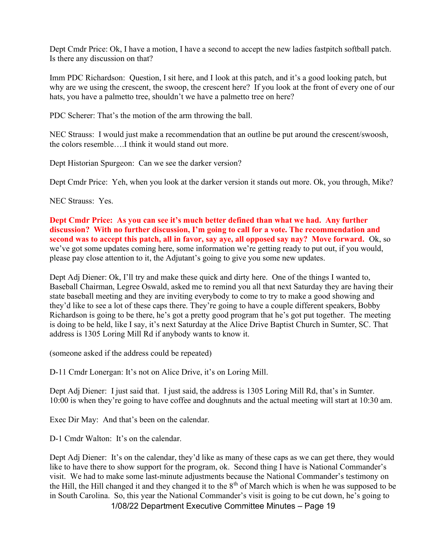Dept Cmdr Price: Ok, I have a motion, I have a second to accept the new ladies fastpitch softball patch. Is there any discussion on that?

Imm PDC Richardson: Question, I sit here, and I look at this patch, and it's a good looking patch, but why are we using the crescent, the swoop, the crescent here? If you look at the front of every one of our hats, you have a palmetto tree, shouldn't we have a palmetto tree on here?

PDC Scherer: That's the motion of the arm throwing the ball.

NEC Strauss: I would just make a recommendation that an outline be put around the crescent/swoosh, the colors resemble….I think it would stand out more.

Dept Historian Spurgeon: Can we see the darker version?

Dept Cmdr Price: Yeh, when you look at the darker version it stands out more. Ok, you through, Mike?

NEC Strauss: Yes.

Dept Cmdr Price: As you can see it's much better defined than what we had. Any further discussion? With no further discussion, I'm going to call for a vote. The recommendation and second was to accept this patch, all in favor, say ave, all opposed say nay? Move forward. Ok, so we've got some updates coming here, some information we're getting ready to put out, if you would, please pay close attention to it, the Adjutant's going to give you some new updates.

Dept Adj Diener: Ok, I'll try and make these quick and dirty here. One of the things I wanted to, Baseball Chairman, Legree Oswald, asked me to remind you all that next Saturday they are having their state baseball meeting and they are inviting everybody to come to try to make a good showing and they'd like to see a lot of these caps there. They're going to have a couple different speakers, Bobby Richardson is going to be there, he's got a pretty good program that he's got put together. The meeting is doing to be held, like I say, it's next Saturday at the Alice Drive Baptist Church in Sumter, SC. That address is 1305 Loring Mill Rd if anybody wants to know it.

(someone asked if the address could be repeated)

D-11 Cmdr Lonergan: It's not on Alice Drive, it's on Loring Mill.

Dept Adj Diener: I just said that. I just said, the address is 1305 Loring Mill Rd, that's in Sumter. 10:00 is when they're going to have coffee and doughnuts and the actual meeting will start at 10:30 am.

Exec Dir May: And that's been on the calendar.

D-1 Cmdr Walton: It's on the calendar.

Dept Adj Diener: It's on the calendar, they'd like as many of these caps as we can get there, they would like to have there to show support for the program, ok. Second thing I have is National Commander's visit. We had to make some last-minute adjustments because the National Commander's testimony on the Hill, the Hill changed it and they changed it to the  $8<sup>th</sup>$  of March which is when he was supposed to be in South Carolina. So, this year the National Commander's visit is going to be cut down, he's going to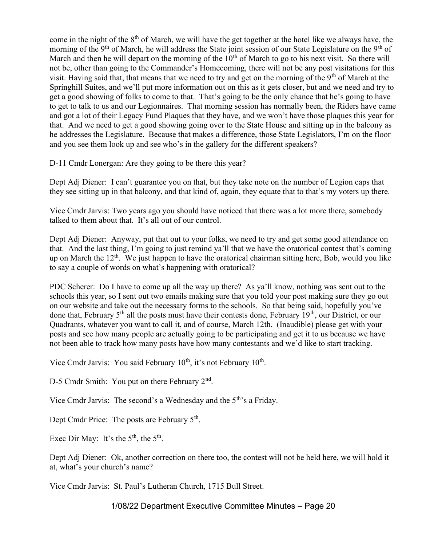come in the night of the 8<sup>th</sup> of March, we will have the get together at the hotel like we always have, the morning of the 9<sup>th</sup> of March, he will address the State joint session of our State Legislature on the 9<sup>th</sup> of March and then he will depart on the morning of the  $10<sup>th</sup>$  of March to go to his next visit. So there will not be, other than going to the Commander's Homecoming, there will not be any post visitations for this visit. Having said that, that means that we need to try and get on the morning of the  $9<sup>th</sup>$  of March at the Springhill Suites, and we'll put more information out on this as it gets closer, but and we need and try to get a good showing of folks to come to that. That's going to be the only chance that he's going to have to get to talk to us and our Legionnaires. That morning session has normally been, the Riders have came and got a lot of their Legacy Fund Plaques that they have, and we won't have those plaques this year for that. And we need to get a good showing going over to the State House and sitting up in the balcony as he addresses the Legislature. Because that makes a difference, those State Legislators, I'm on the floor and you see them look up and see who's in the gallery for the different speakers?

D-11 Cmdr Lonergan: Are they going to be there this year?

Dept Adj Diener: I can't guarantee you on that, but they take note on the number of Legion caps that they see sitting up in that balcony, and that kind of, again, they equate that to that's my voters up there.

Vice Cmdr Jarvis: Two years ago you should have noticed that there was a lot more there, somebody talked to them about that. It's all out of our control.

Dept Adj Diener: Anyway, put that out to your folks, we need to try and get some good attendance on that. And the last thing, I'm going to just remind ya'll that we have the oratorical contest that's coming up on March the  $12<sup>th</sup>$ . We just happen to have the oratorical chairman sitting here, Bob, would you like to say a couple of words on what's happening with oratorical?

PDC Scherer: Do I have to come up all the way up there? As ya'll know, nothing was sent out to the schools this year, so I sent out two emails making sure that you told your post making sure they go out on our website and take out the necessary forms to the schools. So that being said, hopefully you've done that, February  $5<sup>th</sup>$  all the posts must have their contests done, February 19<sup>th</sup>, our District, or our Quadrants, whatever you want to call it, and of course, March 12th. (Inaudible) please get with your posts and see how many people are actually going to be participating and get it to us because we have not been able to track how many posts have how many contestants and we'd like to start tracking.

Vice Cmdr Jarvis: You said February  $10^{th}$ , it's not February  $10^{th}$ .

D-5 Cmdr Smith: You put on there February 2<sup>nd</sup>.

Vice Cmdr Jarvis: The second's a Wednesday and the 5<sup>th</sup>'s a Friday.

Dept Cmdr Price: The posts are February  $5<sup>th</sup>$ .

Exec Dir May: It's the  $5<sup>th</sup>$ , the  $5<sup>th</sup>$ .

Dept Adj Diener: Ok, another correction on there too, the contest will not be held here, we will hold it at, what's your church's name?

Vice Cmdr Jarvis: St. Paul's Lutheran Church, 1715 Bull Street.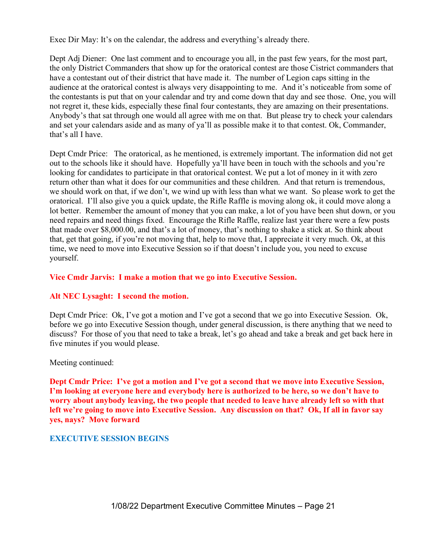Exec Dir May: It's on the calendar, the address and everything's already there.

Dept Adj Diener: One last comment and to encourage you all, in the past few years, for the most part, the only District Commanders that show up for the oratorical contest are those Cistrict commanders that have a contestant out of their district that have made it. The number of Legion caps sitting in the audience at the oratorical contest is always very disappointing to me. And it's noticeable from some of the contestants is put that on your calendar and try and come down that day and see those. One, you will not regret it, these kids, especially these final four contestants, they are amazing on their presentations. Anybody's that sat through one would all agree with me on that. But please try to check your calendars and set your calendars aside and as many of ya'll as possible make it to that contest. Ok, Commander, that's all I have.

Dept Cmdr Price: The oratorical, as he mentioned, is extremely important. The information did not get out to the schools like it should have. Hopefully ya'll have been in touch with the schools and you're looking for candidates to participate in that oratorical contest. We put a lot of money in it with zero return other than what it does for our communities and these children. And that return is tremendous, we should work on that, if we don't, we wind up with less than what we want. So please work to get the oratorical. I'll also give you a quick update, the Rifle Raffle is moving along ok, it could move along a lot better. Remember the amount of money that you can make, a lot of you have been shut down, or you need repairs and need things fixed. Encourage the Rifle Raffle, realize last year there were a few posts that made over \$8,000.00, and that's a lot of money, that's nothing to shake a stick at. So think about that, get that going, if you're not moving that, help to move that, I appreciate it very much. Ok, at this time, we need to move into Executive Session so if that doesn't include you, you need to excuse yourself.

## Vice Cmdr Jarvis: I make a motion that we go into Executive Session.

#### Alt NEC Lysaght: I second the motion.

Dept Cmdr Price: Ok, I've got a motion and I've got a second that we go into Executive Session. Ok, before we go into Executive Session though, under general discussion, is there anything that we need to discuss? For those of you that need to take a break, let's go ahead and take a break and get back here in five minutes if you would please.

#### Meeting continued:

Dept Cmdr Price: I've got a motion and I've got a second that we move into Executive Session, I'm looking at everyone here and everybody here is authorized to be here, so we don't have to worry about anybody leaving, the two people that needed to leave have already left so with that left we're going to move into Executive Session. Any discussion on that? Ok, If all in favor say yes, nays? Move forward

#### EXECUTIVE SESSION BEGINS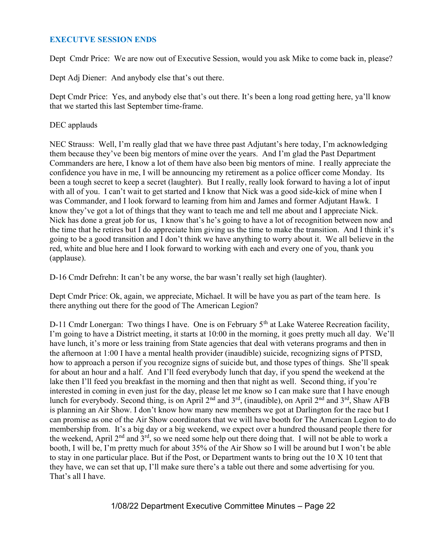## EXECUTVE SESSION ENDS

Dept Cmdr Price: We are now out of Executive Session, would you ask Mike to come back in, please?

Dept Adj Diener: And anybody else that's out there.

Dept Cmdr Price: Yes, and anybody else that's out there. It's been a long road getting here, ya'll know that we started this last September time-frame.

#### DEC applauds

NEC Strauss: Well, I'm really glad that we have three past Adjutant's here today, I'm acknowledging them because they've been big mentors of mine over the years. And I'm glad the Past Department Commanders are here, I know a lot of them have also been big mentors of mine. I really appreciate the confidence you have in me, I will be announcing my retirement as a police officer come Monday. Its been a tough secret to keep a secret (laughter). But I really, really look forward to having a lot of input with all of you. I can't wait to get started and I know that Nick was a good side-kick of mine when I was Commander, and I look forward to learning from him and James and former Adjutant Hawk. I know they've got a lot of things that they want to teach me and tell me about and I appreciate Nick. Nick has done a great job for us, I know that's he's going to have a lot of recognition between now and the time that he retires but I do appreciate him giving us the time to make the transition. And I think it's going to be a good transition and I don't think we have anything to worry about it. We all believe in the red, white and blue here and I look forward to working with each and every one of you, thank you (applause).

D-16 Cmdr Defrehn: It can't be any worse, the bar wasn't really set high (laughter).

Dept Cmdr Price: Ok, again, we appreciate, Michael. It will be have you as part of the team here. Is there anything out there for the good of The American Legion?

D-11 Cmdr Lonergan: Two things I have. One is on February 5<sup>th</sup> at Lake Wateree Recreation facility, I'm going to have a District meeting, it starts at 10:00 in the morning, it goes pretty much all day. We'll have lunch, it's more or less training from State agencies that deal with veterans programs and then in the afternoon at 1:00 I have a mental health provider (inaudible) suicide, recognizing signs of PTSD, how to approach a person if you recognize signs of suicide but, and those types of things. She'll speak for about an hour and a half. And I'll feed everybody lunch that day, if you spend the weekend at the lake then I'll feed you breakfast in the morning and then that night as well. Second thing, if you're interested in coming in even just for the day, please let me know so I can make sure that I have enough lunch for everybody. Second thing, is on April 2<sup>nd</sup> and 3<sup>rd</sup>, (inaudible), on April 2<sup>nd</sup> and 3<sup>rd</sup>, Shaw AFB is planning an Air Show. I don't know how many new members we got at Darlington for the race but I can promise as one of the Air Show coordinators that we will have booth for The American Legion to do membership from. It's a big day or a big weekend, we expect over a hundred thousand people there for the weekend, April 2nd and 3rd, so we need some help out there doing that. I will not be able to work a booth, I will be, I'm pretty much for about 35% of the Air Show so I will be around but I won't be able to stay in one particular place. But if the Post, or Department wants to bring out the 10 X 10 tent that they have, we can set that up, I'll make sure there's a table out there and some advertising for you. That's all I have.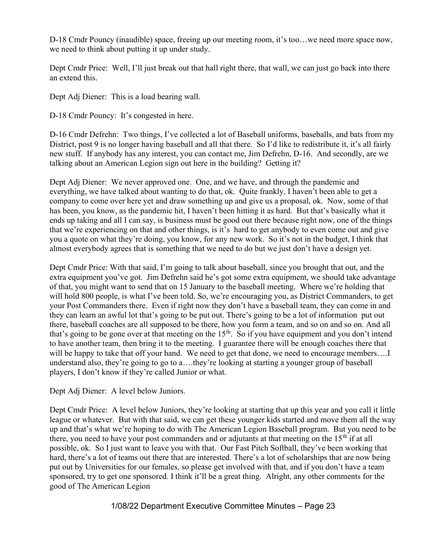D-18 Cmdr Pouncy (inaudible) space, freeing up our meeting room, it's too…we need more space now, we need to think about putting it up under study.

Dept Cmdr Price: Well, I'll just break out that hall right there, that wall, we can just go back into there an extend this.

Dept Adj Diener: This is a load bearing wall.

D-18 Cmdr Pouncy: It's congested in here.

D-16 Cmdr Defrehn: Two things, I've collected a lot of Baseball uniforms, baseballs, and bats from my District, post 9 is no longer having baseball and all that there. So I'd like to redistribute it, it's all fairly new stuff. If anybody has any interest, you can contact me, Jim Defrehn, D-16. And secondly, are we talking about an American Legion sign out here in the building? Getting it?

Dept Adj Diener: We never approved one. One, and we have, and through the pandemic and everything, we have talked about wanting to do that, ok. Quite frankly, I haven't been able to get a company to come over here yet and draw something up and give us a proposal, ok. Now, some of that has been, you know, as the pandemic hit, I haven't been hitting it as hard. But that's basically what it ends up taking and all I can say, is business must be good out there because right now, one of the things that we're experiencing on that and other things, is it's hard to get anybody to even come out and give you a quote on what they're doing, you know, for any new work. So it's not in the budget, I think that almost everybody agrees that is something that we need to do but we just don't have a design yet.

Dept Cmdr Price: With that said, I'm going to talk about baseball, since you brought that out, and the extra equipment you've got. Jim Defrehn said he's got some extra equipment, we should take advantage of that, you might want to send that on 15 January to the baseball meeting. Where we're holding that will hold 800 people, is what I've been told. So, we're encouraging you, as District Commanders, to get your Post Commanders there. Even if right now they don't have a baseball team, they can come in and they can learn an awful lot that's going to be put out. There's going to be a lot of information put out there, baseball coaches are all supposed to be there, how you form a team, and so on and so on. And all that's going to be gone over at that meeting on the  $15<sup>th</sup>$ . So if you have equipment and you don't intend to have another team, then bring it to the meeting. I guarantee there will be enough coaches there that will be happy to take that off your hand. We need to get that done, we need to encourage members.... understand also, they're going to go to a….they're looking at starting a younger group of baseball players, I don't know if they're called Junior or what.

Dept Adj Diener: A level below Juniors.

Dept Cmdr Price: A level below Juniors, they're looking at starting that up this year and you call it little league or whatever. But with that said, we can get these younger kids started and move them all the way up and that's what we're hoping to do with The American Legion Baseball program. But you need to be there, you need to have your post commanders and or adjutants at that meeting on the  $15<sup>th</sup>$  if at all possible, ok. So I just want to leave you with that. Our Fast Pitch Softball, they've been working that hard, there's a lot of teams out there that are interested. There's a lot of scholarships that are now being put out by Universities for our females, so please get involved with that, and if you don't have a team sponsored, try to get one sponsored. I think it'll be a great thing. Alright, any other comments for the good of The American Legion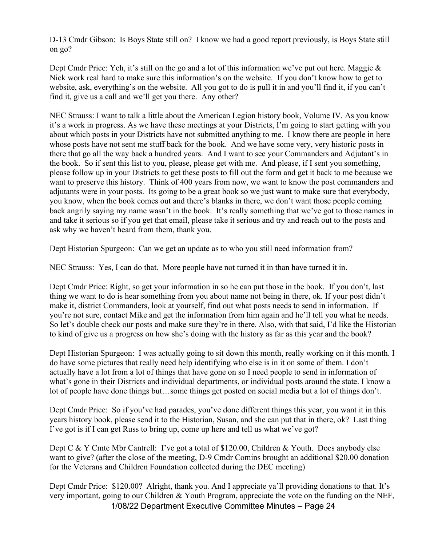D-13 Cmdr Gibson: Is Boys State still on? I know we had a good report previously, is Boys State still on go?

Dept Cmdr Price: Yeh, it's still on the go and a lot of this information we've put out here. Maggie & Nick work real hard to make sure this information's on the website. If you don't know how to get to website, ask, everything's on the website. All you got to do is pull it in and you'll find it, if you can't find it, give us a call and we'll get you there. Any other?

NEC Strauss: I want to talk a little about the American Legion history book, Volume IV. As you know it's a work in progress. As we have these meetings at your Districts, I'm going to start getting with you about which posts in your Districts have not submitted anything to me. I know there are people in here whose posts have not sent me stuff back for the book. And we have some very, very historic posts in there that go all the way back a hundred years. And I want to see your Commanders and Adjutant's in the book. So if sent this list to you, please, please get with me. And please, if I sent you something, please follow up in your Districts to get these posts to fill out the form and get it back to me because we want to preserve this history. Think of 400 years from now, we want to know the post commanders and adjutants were in your posts. Its going to be a great book so we just want to make sure that everybody, you know, when the book comes out and there's blanks in there, we don't want those people coming back angrily saying my name wasn't in the book. It's really something that we've got to those names in and take it serious so if you get that email, please take it serious and try and reach out to the posts and ask why we haven't heard from them, thank you.

Dept Historian Spurgeon: Can we get an update as to who you still need information from?

NEC Strauss: Yes, I can do that. More people have not turned it in than have turned it in.

Dept Cmdr Price: Right, so get your information in so he can put those in the book. If you don't, last thing we want to do is hear something from you about name not being in there, ok. If your post didn't make it, district Commanders, look at yourself, find out what posts needs to send in information. If you're not sure, contact Mike and get the information from him again and he'll tell you what he needs. So let's double check our posts and make sure they're in there. Also, with that said, I'd like the Historian to kind of give us a progress on how she's doing with the history as far as this year and the book?

Dept Historian Spurgeon: I was actually going to sit down this month, really working on it this month. I do have some pictures that really need help identifying who else is in it on some of them. I don't actually have a lot from a lot of things that have gone on so I need people to send in information of what's gone in their Districts and individual departments, or individual posts around the state. I know a lot of people have done things but…some things get posted on social media but a lot of things don't.

Dept Cmdr Price: So if you've had parades, you've done different things this year, you want it in this years history book, please send it to the Historian, Susan, and she can put that in there, ok? Last thing I've got is if I can get Russ to bring up, come up here and tell us what we've got?

Dept C & Y Cmte Mbr Cantrell: I've got a total of \$120.00, Children & Youth. Does anybody else want to give? (after the close of the meeting, D-9 Cmdr Comins brought an additional \$20.00 donation for the Veterans and Children Foundation collected during the DEC meeting)

1/08/22 Department Executive Committee Minutes – Page 24 Dept Cmdr Price: \$120.00? Alright, thank you. And I appreciate ya'll providing donations to that. It's very important, going to our Children & Youth Program, appreciate the vote on the funding on the NEF,